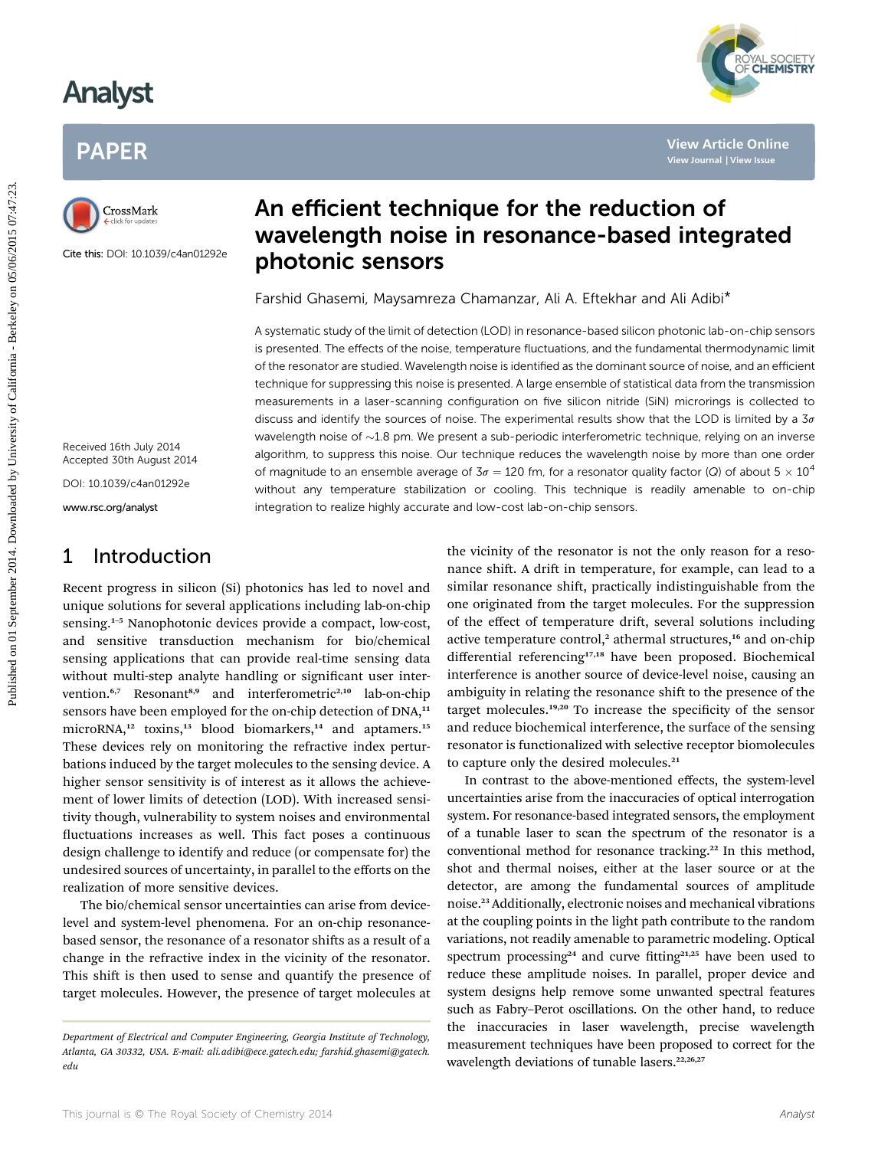## Analyst

## PAPER



Cite this: DOI: 10.1039/c4an01292e

### An efficient technique for the reduction of wavelength noise in resonance-based integrated photonic sensors

Farshid Ghasemi, Maysamreza Chamanzar, Ali A. Eftekhar and Ali Adibi\*

A systematic study of the limit of detection (LOD) in resonance-based silicon photonic lab-on-chip sensors is presented. The effects of the noise, temperature fluctuations, and the fundamental thermodynamic limit of the resonator are studied. Wavelength noise is identified as the dominant source of noise, and an efficient technique for suppressing this noise is presented. A large ensemble of statistical data from the transmission measurements in a laser-scanning configuration on five silicon nitride (SiN) microrings is collected to discuss and identify the sources of noise. The experimental results show that the LOD is limited by a  $3\sigma$ wavelength noise of  $\sim$ 1.8 pm. We present a sub-periodic interferometric technique, relying on an inverse algorithm, to suppress this noise. Our technique reduces the wavelength noise by more than one order of magnitude to an ensemble average of  $3\sigma = 120$  fm, for a resonator quality factor (Q) of about  $5 \times 10^4$ without any temperature stabilization or cooling. This technique is readily amenable to on-chip integration to realize highly accurate and low-cost lab-on-chip sensors. Published on 1990 **Article Constant Constant Constant Constant Constant Constant Constant Constant Constant Constant Constant Constant Constant Constant Constant Constant Constant Constant Constant Constant Constant Consta** 

Received 16th July 2014 Accepted 30th August 2014

DOI: 10.1039/c4an01292e

www.rsc.org/analyst

### 1 Introduction

Recent progress in silicon (Si) photonics has led to novel and unique solutions for several applications including lab-on-chip sensing.<sup>1-5</sup> Nanophotonic devices provide a compact, low-cost, and sensitive transduction mechanism for bio/chemical sensing applications that can provide real-time sensing data without multi-step analyte handling or significant user intervention.<sup>6,7</sup> Resonant<sup>8,9</sup> and interferometric<sup>2,10</sup> lab-on-chip sensors have been employed for the on-chip detection of DNA,<sup>11</sup> microRNA,<sup>12</sup> toxins,<sup>13</sup> blood biomarkers,<sup>14</sup> and aptamers.<sup>15</sup> These devices rely on monitoring the refractive index perturbations induced by the target molecules to the sensing device. A higher sensor sensitivity is of interest as it allows the achievement of lower limits of detection (LOD). With increased sensitivity though, vulnerability to system noises and environmental uctuations increases as well. This fact poses a continuous design challenge to identify and reduce (or compensate for) the undesired sources of uncertainty, in parallel to the efforts on the realization of more sensitive devices.

The bio/chemical sensor uncertainties can arise from devicelevel and system-level phenomena. For an on-chip resonancebased sensor, the resonance of a resonator shifts as a result of a change in the refractive index in the vicinity of the resonator. This shift is then used to sense and quantify the presence of target molecules. However, the presence of target molecules at the vicinity of the resonator is not the only reason for a resonance shift. A drift in temperature, for example, can lead to a similar resonance shift, practically indistinguishable from the one originated from the target molecules. For the suppression of the effect of temperature drift, several solutions including active temperature control,<sup>2</sup> athermal structures,<sup>16</sup> and on-chip differential referencing<sup>17,18</sup> have been proposed. Biochemical interference is another source of device-level noise, causing an ambiguity in relating the resonance shift to the presence of the target molecules. $19,20$  To increase the specificity of the sensor and reduce biochemical interference, the surface of the sensing resonator is functionalized with selective receptor biomolecules to capture only the desired molecules.<sup>21</sup>

In contrast to the above-mentioned effects, the system-level uncertainties arise from the inaccuracies of optical interrogation system. For resonance-based integrated sensors, the employment of a tunable laser to scan the spectrum of the resonator is a conventional method for resonance tracking.<sup>22</sup> In this method, shot and thermal noises, either at the laser source or at the detector, are among the fundamental sources of amplitude noise.<sup>23</sup> Additionally, electronic noises and mechanical vibrations at the coupling points in the light path contribute to the random variations, not readily amenable to parametric modeling. Optical spectrum processing<sup>24</sup> and curve fitting<sup>21,25</sup> have been used to reduce these amplitude noises. In parallel, proper device and system designs help remove some unwanted spectral features such as Fabry–Perot oscillations. On the other hand, to reduce the inaccuracies in laser wavelength, precise wavelength measurement techniques have been proposed to correct for the wavelength deviations of tunable lasers.<sup>22,26,27</sup>



Department of Electrical and Computer Engineering, Georgia Institute of Technology, Atlanta, GA 30332, USA. E-mail: ali.adibi@ece.gatech.edu; farshid.ghasemi@gatech. edu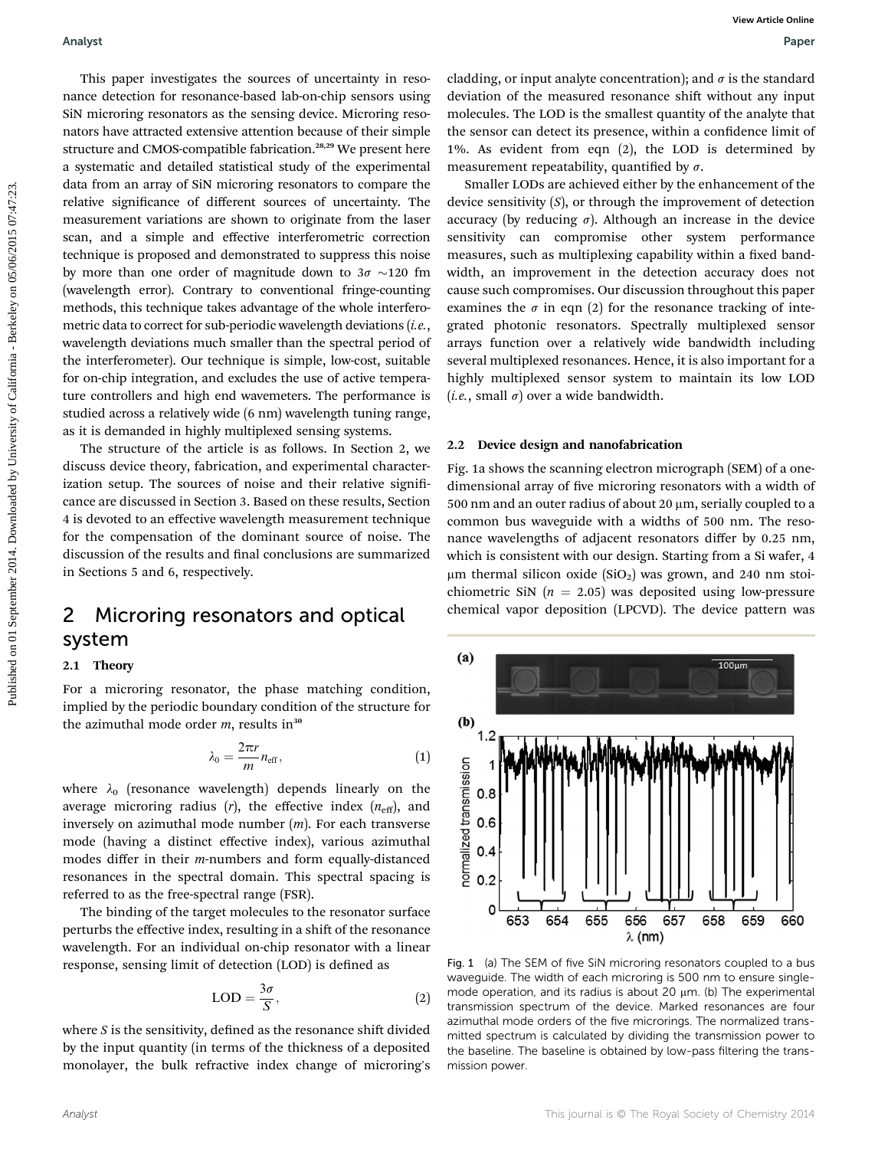This paper investigates the sources of uncertainty in resonance detection for resonance-based lab-on-chip sensors using SiN microring resonators as the sensing device. Microring resonators have attracted extensive attention because of their simple structure and CMOS-compatible fabrication.28,29 We present here a systematic and detailed statistical study of the experimental data from an array of SiN microring resonators to compare the relative signicance of different sources of uncertainty. The measurement variations are shown to originate from the laser scan, and a simple and effective interferometric correction technique is proposed and demonstrated to suppress this noise by more than one order of magnitude down to  $3\sigma \sim 120$  fm (wavelength error). Contrary to conventional fringe-counting methods, this technique takes advantage of the whole interferometric data to correct for sub-periodic wavelength deviations  $(i.e.,$ wavelength deviations much smaller than the spectral period of the interferometer). Our technique is simple, low-cost, suitable for on-chip integration, and excludes the use of active temperature controllers and high end wavemeters. The performance is studied across a relatively wide (6 nm) wavelength tuning range, as it is demanded in highly multiplexed sensing systems. Fundyst<br>
This paper investigates the survey of uncertainty in news challeng or input and<br>spectrum in the survey of the survey of the survey of the survey of the<br>distribution of the best method of California - and small dis

The structure of the article is as follows. In Section 2, we discuss device theory, fabrication, and experimental characterization setup. The sources of noise and their relative significance are discussed in Section 3. Based on these results, Section 4 is devoted to an effective wavelength measurement technique for the compensation of the dominant source of noise. The discussion of the results and final conclusions are summarized in Sections 5 and 6, respectively.

### 2 Microring resonators and optical system

#### 2.1 Theory

For a microring resonator, the phase matching condition, implied by the periodic boundary condition of the structure for the azimuthal mode order  $m$ , results in<sup>30</sup>

$$
\lambda_0 = \frac{2\pi r}{m} n_{\text{eff}},\tag{1}
$$

where  $\lambda_0$  (resonance wavelength) depends linearly on the average microring radius  $(r)$ , the effective index  $(n_{\text{eff}})$ , and inversely on azimuthal mode number  $(m)$ . For each transverse mode (having a distinct effective index), various azimuthal modes differ in their m-numbers and form equally-distanced resonances in the spectral domain. This spectral spacing is referred to as the free-spectral range (FSR).

The binding of the target molecules to the resonator surface perturbs the effective index, resulting in a shift of the resonance wavelength. For an individual on-chip resonator with a linear response, sensing limit of detection (LOD) is defined as

$$
LOD = \frac{3\sigma}{S},\tag{2}
$$

where  $S$  is the sensitivity, defined as the resonance shift divided by the input quantity (in terms of the thickness of a deposited monolayer, the bulk refractive index change of microring's

cladding, or input analyte concentration); and  $\sigma$  is the standard deviation of the measured resonance shift without any input molecules. The LOD is the smallest quantity of the analyte that the sensor can detect its presence, within a confidence limit of 1%. As evident from eqn (2), the LOD is determined by measurement repeatability, quantified by  $\sigma$ .

Smaller LODs are achieved either by the enhancement of the device sensitivity  $(S)$ , or through the improvement of detection accuracy (by reducing  $\sigma$ ). Although an increase in the device sensitivity can compromise other system performance measures, such as multiplexing capability within a fixed bandwidth, an improvement in the detection accuracy does not cause such compromises. Our discussion throughout this paper examines the  $\sigma$  in eqn (2) for the resonance tracking of integrated photonic resonators. Spectrally multiplexed sensor arrays function over a relatively wide bandwidth including several multiplexed resonances. Hence, it is also important for a highly multiplexed sensor system to maintain its low LOD (*i.e.*, small  $\sigma$ ) over a wide bandwidth.

### 2.2 Device design and nanofabrication

Fig. 1a shows the scanning electron micrograph (SEM) of a onedimensional array of five microring resonators with a width of 500 nm and an outer radius of about 20  $\mu$ m, serially coupled to a common bus waveguide with a widths of 500 nm. The resonance wavelengths of adjacent resonators differ by 0.25 nm, which is consistent with our design. Starting from a Si wafer, 4  $\mu$ m thermal silicon oxide (SiO<sub>2</sub>) was grown, and 240 nm stoichiometric SiN ( $n = 2.05$ ) was deposited using low-pressure chemical vapor deposition (LPCVD). The device pattern was



Fig. 1 (a) The SEM of five SiN microring resonators coupled to a bus waveguide. The width of each microring is 500 nm to ensure singlemode operation, and its radius is about 20  $\mu$ m. (b) The experimental transmission spectrum of the device. Marked resonances are four azimuthal mode orders of the five microrings. The normalized transmitted spectrum is calculated by dividing the transmission power to the baseline. The baseline is obtained by low-pass filtering the transmission power.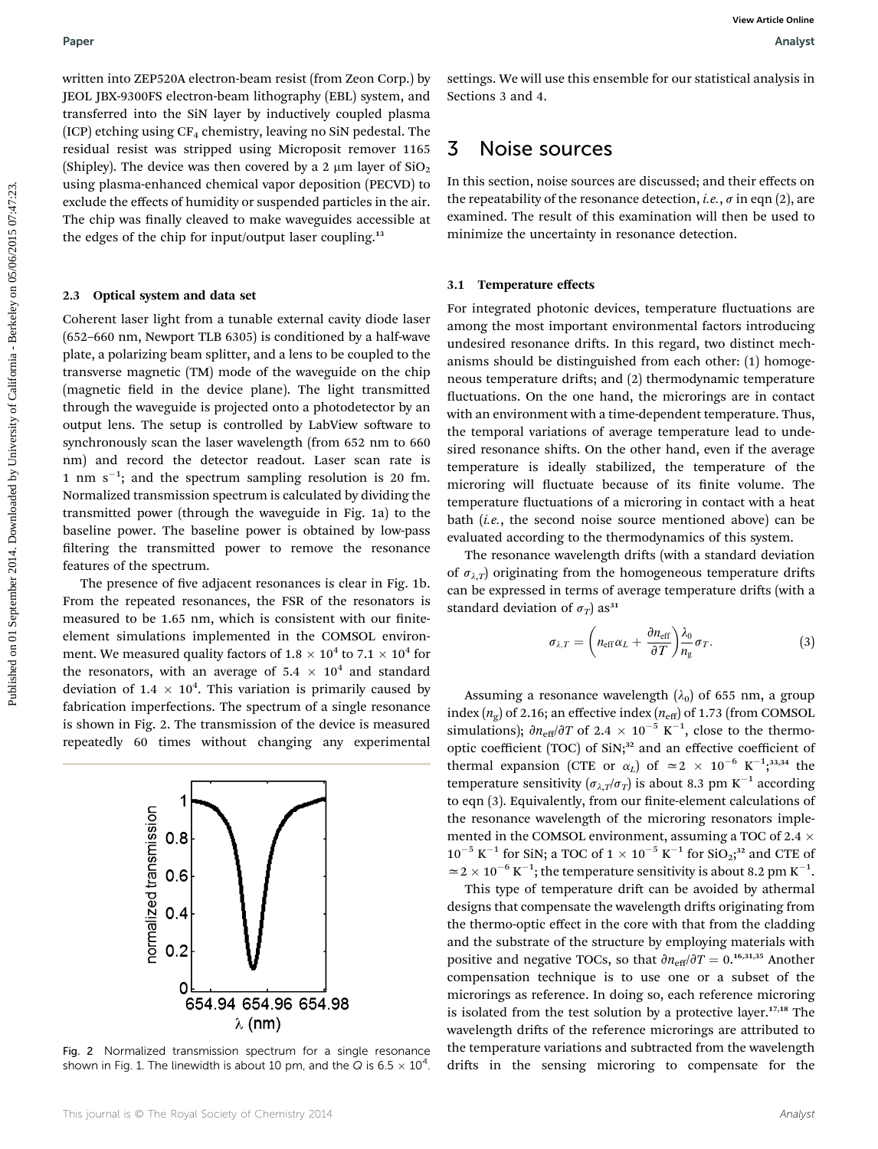written into ZEP520A electron-beam resist (from Zeon Corp.) by JEOL JBX-9300FS electron-beam lithography (EBL) system, and transferred into the SiN layer by inductively coupled plasma (ICP) etching using  $CF_4$  chemistry, leaving no SiN pedestal. The residual resist was stripped using Microposit remover 1165 (Shipley). The device was then covered by a 2  $\mu$ m layer of SiO<sub>2</sub> using plasma-enhanced chemical vapor deposition (PECVD) to exclude the effects of humidity or suspended particles in the air. The chip was finally cleaved to make waveguides accessible at the edges of the chip for input/output laser coupling.<sup>13</sup>

#### 2.3 Optical system and data set

Coherent laser light from a tunable external cavity diode laser (652–660 nm, Newport TLB 6305) is conditioned by a half-wave plate, a polarizing beam splitter, and a lens to be coupled to the transverse magnetic (TM) mode of the waveguide on the chip (magnetic field in the device plane). The light transmitted through the waveguide is projected onto a photodetector by an output lens. The setup is controlled by LabView software to synchronously scan the laser wavelength (from 652 nm to 660 nm) and record the detector readout. Laser scan rate is 1 nm  $s^{-1}$ ; and the spectrum sampling resolution is 20 fm. Normalized transmission spectrum is calculated by dividing the transmitted power (through the waveguide in Fig. 1a) to the baseline power. The baseline power is obtained by low-pass filtering the transmitted power to remove the resonance features of the spectrum. **Puper**<br> **Published on 101 September 2014. The control of the Control of the Control of the Control of the California - September 2014. The published of the University of California - Berkeley on 2014. The control of the** 

The presence of five adjacent resonances is clear in Fig. 1b. From the repeated resonances, the FSR of the resonators is measured to be 1.65 nm, which is consistent with our finiteelement simulations implemented in the COMSOL environment. We measured quality factors of 1.8  $\times$  10<sup>4</sup> to 7.1  $\times$  10<sup>4</sup> for the resonators, with an average of 5.4  $\times$  10<sup>4</sup> and standard deviation of 1.4  $\times$  10<sup>4</sup>. This variation is primarily caused by fabrication imperfections. The spectrum of a single resonance is shown in Fig. 2. The transmission of the device is measured repeatedly 60 times without changing any experimental



Fig. 2 Normalized transmission spectrum for a single resonance shown in Fig. 1. The linewidth is about 10 pm, and the Q is 6.5  $\times$  10<sup>4</sup>.

settings. We will use this ensemble for our statistical analysis in Sections 3 and 4.

### 3 Noise sources

In this section, noise sources are discussed; and their effects on the repeatability of the resonance detection, *i.e.*,  $\sigma$  in eqn (2), are examined. The result of this examination will then be used to minimize the uncertainty in resonance detection.

#### 3.1 Temperature effects

For integrated photonic devices, temperature fluctuations are among the most important environmental factors introducing undesired resonance drifts. In this regard, two distinct mechanisms should be distinguished from each other: (1) homogeneous temperature drifts; and (2) thermodynamic temperature fluctuations. On the one hand, the microrings are in contact with an environment with a time-dependent temperature. Thus, the temporal variations of average temperature lead to undesired resonance shifts. On the other hand, even if the average temperature is ideally stabilized, the temperature of the microring will fluctuate because of its finite volume. The temperature fluctuations of a microring in contact with a heat bath (i.e., the second noise source mentioned above) can be evaluated according to the thermodynamics of this system.

The resonance wavelength drifts (with a standard deviation of  $\sigma_{\lambda,T}$  originating from the homogeneous temperature drifts can be expressed in terms of average temperature drifts (with a standard deviation of  $\sigma_T$ ) as<sup>31</sup>

$$
\sigma_{\lambda,T} = \left( n_{\text{eff}} \alpha_L + \frac{\partial n_{\text{eff}}}{\partial T} \right) \frac{\lambda_0}{n_g} \sigma_T. \tag{3}
$$

Assuming a resonance wavelength  $(\lambda_0)$  of 655 nm, a group index  $(n_g)$  of 2.16; an effective index  $(n_{\text{eff}})$  of 1.73 (from COMSOL simulations);  $\partial n_{\text{eff}}/\partial T$  of 2.4  $\times$  10<sup>-5</sup> K<sup>-1</sup>, close to the thermooptic coefficient (TOC) of SiN;<sup>32</sup> and an effective coefficient of thermal expansion (CTE or  $\alpha_L$ ) of  $\simeq 2 \times 10^{-6}$  K<sup>-1</sup>;<sup>33,34</sup> the temperature sensitivity  $(\sigma_{\lambda,T}/\sigma_T)$  is about 8.3 pm K<sup>-1</sup> according to eqn (3). Equivalently, from our finite-element calculations of the resonance wavelength of the microring resonators implemented in the COMSOL environment, assuming a TOC of 2.4  $\times$  $10^{-5}$  K<sup>-1</sup> for SiN; a TOC of 1  $\times$  10<sup>-5</sup> K<sup>-1</sup> for SiO<sub>2</sub>;<sup>32</sup> and CTE of  $\simeq$  2  $\times$  10<sup>-6</sup> K<sup>-1</sup>; the temperature sensitivity is about 8.2 pm K<sup>-1</sup>.

This type of temperature drift can be avoided by athermal designs that compensate the wavelength drifts originating from the thermo-optic effect in the core with that from the cladding and the substrate of the structure by employing materials with positive and negative TOCs, so that  $\partial n_{\text{eff}}/\partial T = 0$ .<sup>16,31,35</sup> Another compensation technique is to use one or a subset of the microrings as reference. In doing so, each reference microring is isolated from the test solution by a protective layer.<sup>17,18</sup> The wavelength drifts of the reference microrings are attributed to the temperature variations and subtracted from the wavelength drifts in the sensing microring to compensate for the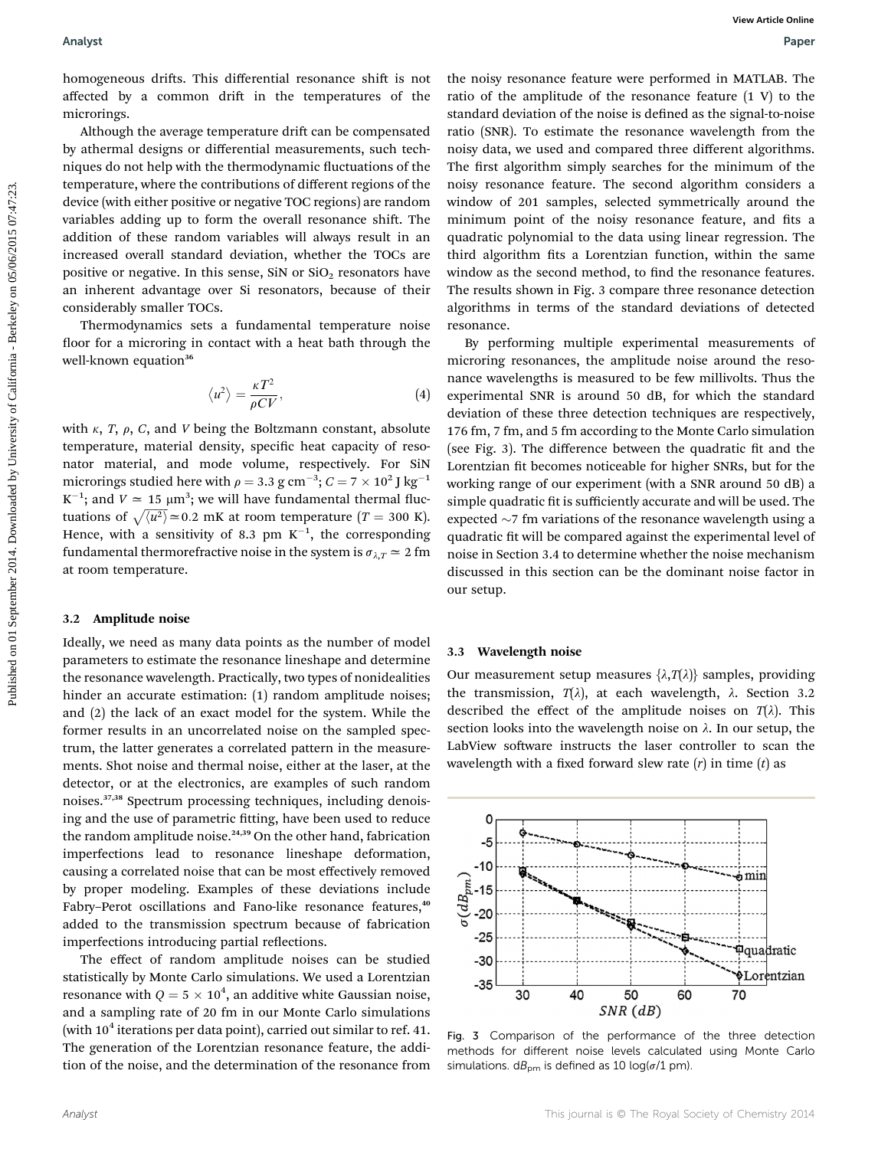homogeneous drifts. This differential resonance shift is not affected by a common drift in the temperatures of the microrings.

Although the average temperature drift can be compensated by athermal designs or differential measurements, such techniques do not help with the thermodynamic fluctuations of the temperature, where the contributions of different regions of the device (with either positive or negative TOC regions) are random variables adding up to form the overall resonance shift. The addition of these random variables will always result in an increased overall standard deviation, whether the TOCs are positive or negative. In this sense, SiN or  $SiO<sub>2</sub>$  resonators have an inherent advantage over Si resonators, because of their considerably smaller TOCs.

Thermodynamics sets a fundamental temperature noise floor for a microring in contact with a heat bath through the well-known equation<sup>36</sup>

$$
\langle u^2 \rangle = \frac{\kappa T^2}{\rho C V},\tag{4}
$$

with  $\kappa$ , T,  $\rho$ , C, and V being the Boltzmann constant, absolute temperature, material density, specific heat capacity of resonator material, and mode volume, respectively. For SiN microrings studied here with  $\rho =$  3.3 g cm $^{-3}$ ;  $C =$  7  $\times$  10<sup>2</sup> J kg $^{-1}$  $K^{-1}$ ; and  $V \approx 15 \mu m^3$ ; we will have fundamental thermal fluctuations of  $\sqrt{\langle u^2 \rangle}$   $\approx$  0.2 mK at room temperature (T = 300 K). Hence, with a sensitivity of 8.3 pm  $K^{-1}$ , the corresponding fundamental thermorefractive noise in the system is  $\sigma_{\lambda,T} \simeq 2$  fm at room temperature.

#### 3.2 Amplitude noise

Ideally, we need as many data points as the number of model parameters to estimate the resonance lineshape and determine the resonance wavelength. Practically, two types of nonidealities hinder an accurate estimation: (1) random amplitude noises; and (2) the lack of an exact model for the system. While the former results in an uncorrelated noise on the sampled spectrum, the latter generates a correlated pattern in the measurements. Shot noise and thermal noise, either at the laser, at the detector, or at the electronics, are examples of such random noises.37,38 Spectrum processing techniques, including denoising and the use of parametric fitting, have been used to reduce the random amplitude noise.<sup>24,39</sup> On the other hand, fabrication imperfections lead to resonance lineshape deformation, causing a correlated noise that can be most effectively removed by proper modeling. Examples of these deviations include Fabry–Perot oscillations and Fano-like resonance features,<sup>40</sup> added to the transmission spectrum because of fabrication imperfections introducing partial reflections.

The effect of random amplitude noises can be studied statistically by Monte Carlo simulations. We used a Lorentzian resonance with  $Q = 5 \times 10^4,$  an additive white Gaussian noise, and a sampling rate of 20 fm in our Monte Carlo simulations (with  $10^4$  iterations per data point), carried out similar to ref. 41. The generation of the Lorentzian resonance feature, the addition of the noise, and the determination of the resonance from

the noisy resonance feature were performed in MATLAB. The ratio of the amplitude of the resonance feature (1 V) to the standard deviation of the noise is defined as the signal-to-noise ratio (SNR). To estimate the resonance wavelength from the noisy data, we used and compared three different algorithms. The first algorithm simply searches for the minimum of the noisy resonance feature. The second algorithm considers a window of 201 samples, selected symmetrically around the minimum point of the noisy resonance feature, and fits a quadratic polynomial to the data using linear regression. The third algorithm fits a Lorentzian function, within the same window as the second method, to find the resonance features. The results shown in Fig. 3 compare three resonance detection algorithms in terms of the standard deviations of detected resonance.

By performing multiple experimental measurements of microring resonances, the amplitude noise around the resonance wavelengths is measured to be few millivolts. Thus the experimental SNR is around 50 dB, for which the standard deviation of these three detection techniques are respectively, 176 fm, 7 fm, and 5 fm according to the Monte Carlo simulation (see Fig. 3). The difference between the quadratic fit and the Lorentzian fit becomes noticeable for higher SNRs, but for the working range of our experiment (with a SNR around 50 dB) a simple quadratic fit is sufficiently accurate and will be used. The expected  $\sim$ 7 fm variations of the resonance wavelength using a quadratic fit will be compared against the experimental level of noise in Section 3.4 to determine whether the noise mechanism discussed in this section can be the dominant noise factor in our setup. Analyst<br>
hencegows at this differential transmete shift is red. the uniting the material functions in the material of the california - Mathematical complete the material complete the unit of the properties of the californ

#### 3.3 Wavelength noise

Our measurement setup measures  $\{\lambda, T(\lambda)\}\$  samples, providing the transmission,  $T(\lambda)$ , at each wavelength,  $\lambda$ . Section 3.2 described the effect of the amplitude noises on  $T(\lambda)$ . This section looks into the wavelength noise on  $\lambda$ . In our setup, the LabView software instructs the laser controller to scan the wavelength with a fixed forward slew rate  $(r)$  in time  $(t)$  as



Fig. 3 Comparison of the performance of the three detection methods for different noise levels calculated using Monte Carlo simulations.  $dB_{pm}$  is defined as 10 log( $\sigma/1$  pm).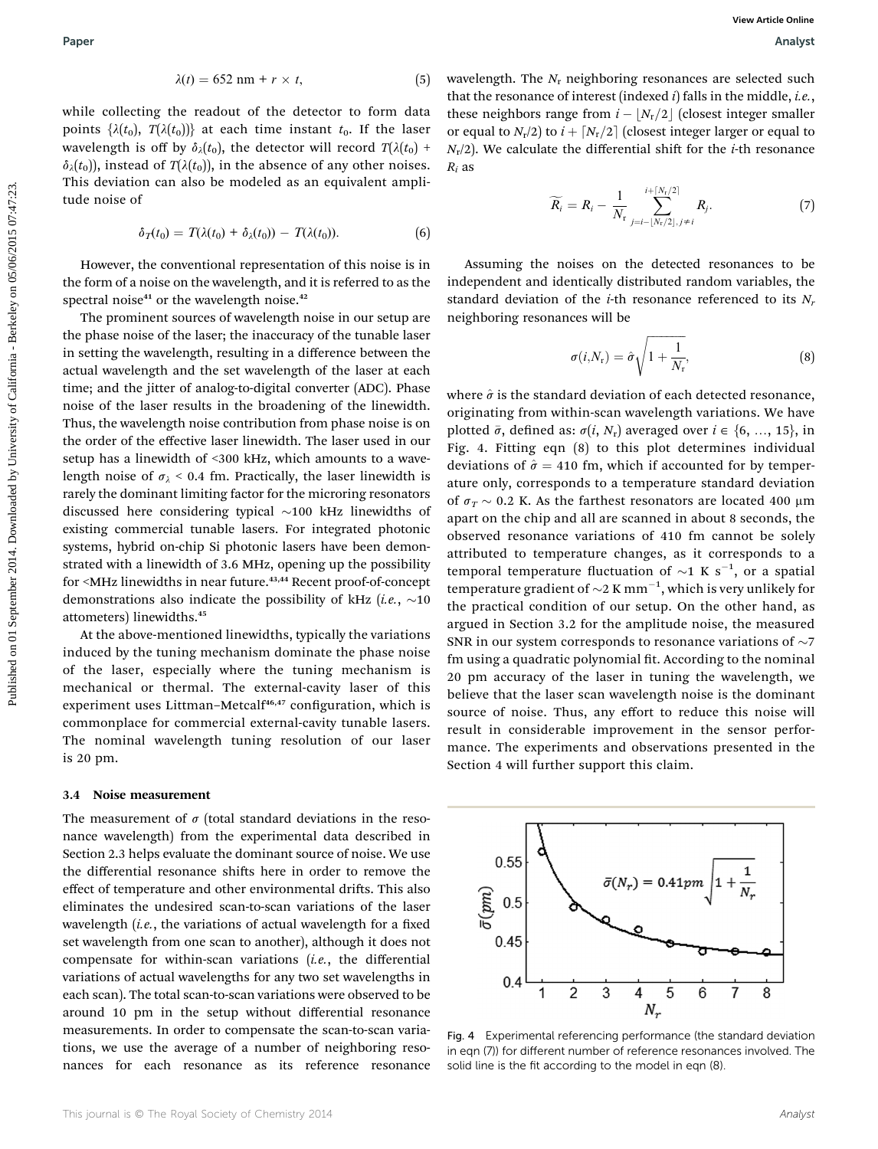$$
\lambda(t) = 652 \text{ nm} + r \times t, \tag{5}
$$

while collecting the readout of the detector to form data points  $\{\lambda(t_0), T(\lambda(t_0))\}$  at each time instant  $t_0$ . If the laser wavelength is off by  $\delta_{\lambda}(t_0)$ , the detector will record  $T(\lambda(t_0) +$  $\delta_{\lambda}(t_0)$ , instead of  $T(\lambda(t_0))$ , in the absence of any other noises. This deviation can also be modeled as an equivalent amplitude noise of

$$
\delta_T(t_0) = T(\lambda(t_0) + \delta_\lambda(t_0)) - T(\lambda(t_0)). \tag{6}
$$

However, the conventional representation of this noise is in the form of a noise on the wavelength, and it is referred to as the spectral noise $41$  or the wavelength noise. $42$ 

The prominent sources of wavelength noise in our setup are the phase noise of the laser; the inaccuracy of the tunable laser in setting the wavelength, resulting in a difference between the actual wavelength and the set wavelength of the laser at each time; and the jitter of analog-to-digital converter (ADC). Phase noise of the laser results in the broadening of the linewidth. Thus, the wavelength noise contribution from phase noise is on the order of the effective laser linewidth. The laser used in our setup has a linewidth of <300 kHz, which amounts to a wavelength noise of  $\sigma_{\lambda}$  < 0.4 fm. Practically, the laser linewidth is rarely the dominant limiting factor for the microring resonators discussed here considering typical  $\sim$ 100 kHz linewidths of existing commercial tunable lasers. For integrated photonic systems, hybrid on-chip Si photonic lasers have been demonstrated with a linewidth of 3.6 MHz, opening up the possibility for <MHz linewidths in near future.<sup>43,44</sup> Recent proof-of-concept demonstrations also indicate the possibility of kHz (i.e.,  $\sim$ 10 attometers) linewidths.<sup>45</sup>

At the above-mentioned linewidths, typically the variations induced by the tuning mechanism dominate the phase noise of the laser, especially where the tuning mechanism is mechanical or thermal. The external-cavity laser of this experiment uses Littman-Metcalf<sup>46,47</sup> configuration, which is commonplace for commercial external-cavity tunable lasers. The nominal wavelength tuning resolution of our laser is 20 pm.

#### 3.4 Noise measurement

The measurement of  $\sigma$  (total standard deviations in the resonance wavelength) from the experimental data described in Section 2.3 helps evaluate the dominant source of noise. We use the differential resonance shifts here in order to remove the effect of temperature and other environmental drifts. This also eliminates the undesired scan-to-scan variations of the laser wavelength  $(i.e.,$  the variations of actual wavelength for a fixed set wavelength from one scan to another), although it does not compensate for within-scan variations (i.e., the differential variations of actual wavelengths for any two set wavelengths in each scan). The total scan-to-scan variations were observed to be around 10 pm in the setup without differential resonance measurements. In order to compensate the scan-to-scan variations, we use the average of a number of neighboring resonances for each resonance as its reference resonance

wavelength. The  $N_r$  neighboring resonances are selected such that the resonance of interest (indexed  $i$ ) falls in the middle, *i.e.*, these neighbors range from  $i - |N_r/2|$  (closest integer smaller or equal to  $N_r/2$ ) to  $i + \lceil N_r/2 \rceil$  (closest integer larger or equal to  $N_r/2$ ). We calculate the differential shift for the *i*-th resonance  $R_i$  as

$$
\widetilde{R_i} = R_i - \frac{1}{N_r} \sum_{j=i-\lfloor N_r/2 \rfloor, j\neq i}^{i+\lceil N_r/2 \rceil} R_j.
$$
 (7)

Assuming the noises on the detected resonances to be independent and identically distributed random variables, the standard deviation of the *i*-th resonance referenced to its  $N_r$ neighboring resonances will be

$$
\sigma(i, N_{\rm r}) = \hat{\sigma} \sqrt{1 + \frac{1}{N_{\rm r}}},\tag{8}
$$

where  $\hat{\sigma}$  is the standard deviation of each detected resonance, originating from within-scan wavelength variations. We have plotted  $\bar{\sigma}$ , defined as:  $\sigma(i, N_r)$  averaged over  $i \in \{6, ..., 15\}$ , in Fig. 4. Fitting eqn (8) to this plot determines individual deviations of  $\hat{\sigma} = 410$  fm, which if accounted for by temperature only, corresponds to a temperature standard deviation of  $\sigma_T \sim 0.2$  K. As the farthest resonators are located 400 µm apart on the chip and all are scanned in about 8 seconds, the observed resonance variations of 410 fm cannot be solely attributed to temperature changes, as it corresponds to a temporal temperature fluctuation of  $\sim$ 1 K s<sup>-1</sup>, or a spatial temperature gradient of  $\sim$ 2 K mm<sup>-1</sup>, which is very unlikely for the practical condition of our setup. On the other hand, as argued in Section 3.2 for the amplitude noise, the measured SNR in our system corresponds to resonance variations of  $\sim$ 7 fm using a quadratic polynomial fit. According to the nominal 20 pm accuracy of the laser in tuning the wavelength, we believe that the laser scan wavelength noise is the dominant source of noise. Thus, any effort to reduce this noise will result in considerable improvement in the sensor performance. The experiments and observations presented in the Section 4 will further support this claim. **Puper**<br>  $\lambda(t) = 622 \tan t + r \times t$ . (5) excellength. The *N*, meighboring measures of Amist<br>
while collecting the nord on the detector in form data due anighlable range (amis)  $\lambda(t) = 2\pi r$ ,  $\lambda(t) = 2\pi r$ ,  $\lambda(t) = 2\pi r$ ,  $\lambda(t) = 2\$ 



Fig. 4 Experimental referencing performance (the standard deviation in eqn (7)) for different number of reference resonances involved. The solid line is the fit according to the model in eqn (8).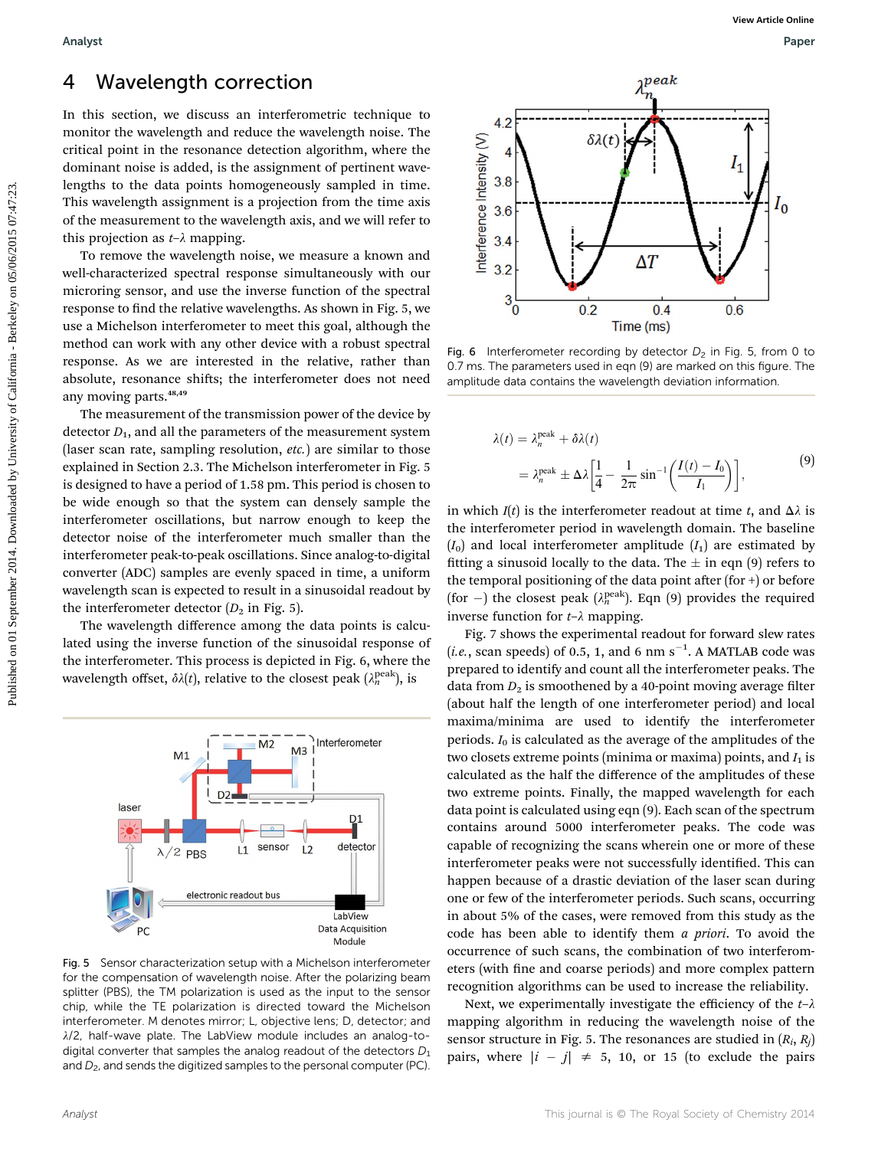### 4 Wavelength correction

In this section, we discuss an interferometric technique to monitor the wavelength and reduce the wavelength noise. The critical point in the resonance detection algorithm, where the dominant noise is added, is the assignment of pertinent wavelengths to the data points homogeneously sampled in time. This wavelength assignment is a projection from the time axis of the measurement to the wavelength axis, and we will refer to this projection as  $t-\lambda$  mapping.

To remove the wavelength noise, we measure a known and well-characterized spectral response simultaneously with our microring sensor, and use the inverse function of the spectral response to find the relative wavelengths. As shown in Fig. 5, we use a Michelson interferometer to meet this goal, although the method can work with any other device with a robust spectral response. As we are interested in the relative, rather than absolute, resonance shifts; the interferometer does not need any moving parts.<sup>48,49</sup>

The measurement of the transmission power of the device by detector  $D_1$ , and all the parameters of the measurement system (laser scan rate, sampling resolution, etc.) are similar to those explained in Section 2.3. The Michelson interferometer in Fig. 5 is designed to have a period of 1.58 pm. This period is chosen to be wide enough so that the system can densely sample the interferometer oscillations, but narrow enough to keep the detector noise of the interferometer much smaller than the interferometer peak-to-peak oscillations. Since analog-to-digital converter (ADC) samples are evenly spaced in time, a uniform wavelength scan is expected to result in a sinusoidal readout by the interferometer detector  $(D_2$  in Fig. 5).

The wavelength difference among the data points is calculated using the inverse function of the sinusoidal response of the interferometer. This process is depicted in Fig. 6, where the wavelength offset,  $\delta \lambda(t)$ , relative to the closest peak  $(\lambda_n^{\rm peak})$ , is



Fig. 5 Sensor characterization setup with a Michelson interferometer for the compensation of wavelength noise. After the polarizing beam splitter (PBS), the TM polarization is used as the input to the sensor chip, while the TE polarization is directed toward the Michelson interferometer. M denotes mirror; L, objective lens; D, detector; and  $\lambda/2$ , half-wave plate. The LabView module includes an analog-todigital converter that samples the analog readout of the detectors  $D_1$ and  $D_2$ , and sends the digitized samples to the personal computer (PC).



Fig. 6 Interferometer recording by detector  $D_2$  in Fig. 5, from 0 to 0.7 ms. The parameters used in eqn (9) are marked on this figure. The amplitude data contains the wavelength deviation information.

$$
\lambda(t) = \lambda_n^{\text{peak}} + \delta \lambda(t)
$$
  
= 
$$
\lambda_n^{\text{peak}} \pm \Delta \lambda \left[ \frac{1}{4} - \frac{1}{2\pi} \sin^{-1} \left( \frac{I(t) - I_0}{I_1} \right) \right],
$$
 (9)

in which  $I(t)$  is the interferometer readout at time t, and  $\Delta \lambda$  is the interferometer period in wavelength domain. The baseline  $(I_0)$  and local interferometer amplitude  $(I_1)$  are estimated by fitting a sinusoid locally to the data. The  $\pm$  in eqn (9) refers to the temporal positioning of the data point after (for  $+$ ) or before (for  $-$ ) the closest peak ( $\lambda_n^{\text{peak}}$ ). Eqn (9) provides the required inverse function for  $t-\lambda$  mapping.

Fig. 7 shows the experimental readout for forward slew rates (*i.e.*, scan speeds) of 0.5, 1, and 6 nm  $s^{-1}$ . A MATLAB code was prepared to identify and count all the interferometer peaks. The data from  $D_2$  is smoothened by a 40-point moving average filter (about half the length of one interferometer period) and local maxima/minima are used to identify the interferometer periods.  $I_0$  is calculated as the average of the amplitudes of the two closets extreme points (minima or maxima) points, and  $I_1$  is calculated as the half the difference of the amplitudes of these two extreme points. Finally, the mapped wavelength for each data point is calculated using eqn (9). Each scan of the spectrum contains around 5000 interferometer peaks. The code was capable of recognizing the scans wherein one or more of these interferometer peaks were not successfully identified. This can happen because of a drastic deviation of the laser scan during one or few of the interferometer periods. Such scans, occurring in about 5% of the cases, were removed from this study as the code has been able to identify them a priori. To avoid the occurrence of such scans, the combination of two interferometers (with fine and coarse periods) and more complex pattern recognition algorithms can be used to increase the reliability.

Next, we experimentally investigate the efficiency of the  $t-\lambda$ mapping algorithm in reducing the wavelength noise of the sensor structure in Fig. 5. The resonances are studied in  $(R_i, R_j)$ pairs, where  $|i - j| \neq 5$ , 10, or 15 (to exclude the pairs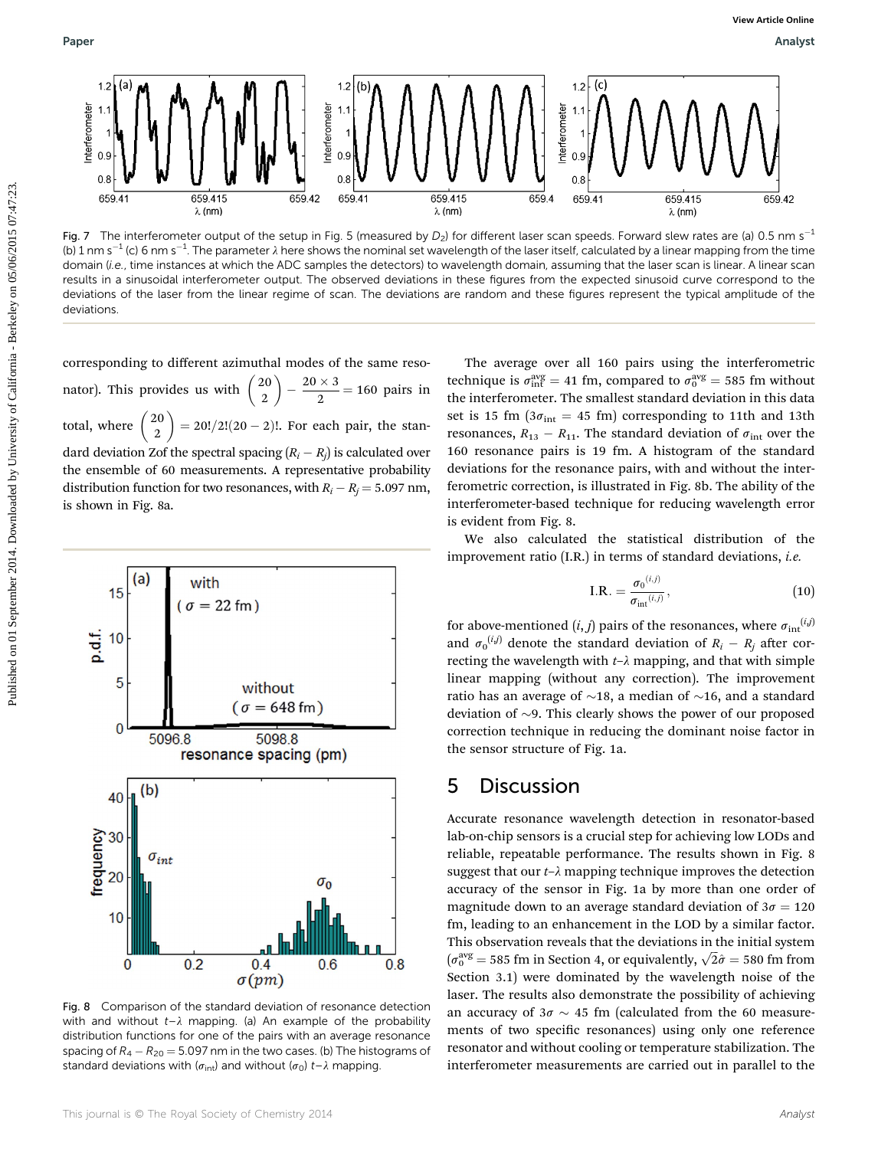

Fig. 7 The interferometer output of the setup in Fig. 5 (measured by  $D_2$ ) for different laser scan speeds. Forward slew rates are (a) 0.5 nm s<sup>-1</sup> (b) 1 nm s<sup>-1</sup> (c) 6 nm s<sup>-1</sup>. The parameter  $\lambda$  here shows the nominal set wavelength of the laser itself, calculated by a linear mapping from the time domain (i.e., time instances at which the ADC samples the detectors) to wavelength domain, assuming that the laser scan is linear. A linear scan results in a sinusoidal interferometer output. The observed deviations in these figures from the expected sinusoid curve correspond to the deviations of the laser from the linear regime of scan. The deviations are random and these figures represent the typical amplitude of the deviations.

corresponding to different azimuthal modes of the same resonator). This provides us with  $\begin{pmatrix} 20 \\ 2 \end{pmatrix}$  $2 - \frac{20 \times 3}{2} = 160$  pairs in total, where  $\begin{pmatrix} 20 \\ 2 \end{pmatrix}$  $\Big) = 20!/2!(20-2)!$ . For each pair, the standard deviation Zof the spectral spacing  $(R_i - R_j)$  is calculated over the ensemble of 60 measurements. A representative probability distribution function for two resonances, with  $R_i - R_j = 5.097$  nm, is shown in Fig. 8a.



Fig. 8 Comparison of the standard deviation of resonance detection with and without  $t-\lambda$  mapping. (a) An example of the probability distribution functions for one of the pairs with an average resonance spacing of  $R_4 - R_{20} = 5.097$  nm in the two cases. (b) The histograms of standard deviations with ( $\sigma_{int}$ ) and without ( $\sigma_0$ ) t– $\lambda$  mapping.

The average over all 160 pairs using the interferometric technique is  $\sigma_{int}^{avg} = 41$  fm, compared to  $\sigma_0^{avg} = 585$  fm without the interferometer. The smallest standard deviation in this data set is 15 fm ( $3\sigma_{int} = 45$  fm) corresponding to 11th and 13th resonances,  $R_{13} - R_{11}$ . The standard deviation of  $\sigma_{int}$  over the 160 resonance pairs is 19 fm. A histogram of the standard deviations for the resonance pairs, with and without the interferometric correction, is illustrated in Fig. 8b. The ability of the interferometer-based technique for reducing wavelength error is evident from Fig. 8.

We also calculated the statistical distribution of the improvement ratio  $(IR.)$  in terms of standard deviations, *i.e.* 

$$
\text{I.R.} = \frac{\sigma_0^{(i,j)}}{\sigma_{\text{int}}^{(i,j)}},\tag{10}
$$

for above-mentioned  $(i, j)$  pairs of the resonances, where  $\sigma_{int}^{(i,j)}$ and  $\sigma_0^{(i,j)}$  denote the standard deviation of  $R_i - R_j$  after correcting the wavelength with  $t-\lambda$  mapping, and that with simple linear mapping (without any correction). The improvement ratio has an average of  $\sim$ 18, a median of  $\sim$ 16, and a standard deviation of  $\sim$ 9. This clearly shows the power of our proposed correction technique in reducing the dominant noise factor in the sensor structure of Fig. 1a.

### 5 Discussion

Accurate resonance wavelength detection in resonator-based lab-on-chip sensors is a crucial step for achieving low LODs and reliable, repeatable performance. The results shown in Fig. 8 suggest that our  $t-\lambda$  mapping technique improves the detection accuracy of the sensor in Fig. 1a by more than one order of magnitude down to an average standard deviation of  $3\sigma = 120$ fm, leading to an enhancement in the LOD by a similar factor. This observation reveals that the deviations in the initial system This observation reveals that the deviations in the initial system<br> $(\sigma_0^{\text{avg}} = 585 \text{ fm}$  in Section 4, or equivalently,  $\sqrt{2}\hat{\sigma} = 580 \text{ fm}$  from Section 3.1) were dominated by the wavelength noise of the laser. The results also demonstrate the possibility of achieving an accuracy of  $3\sigma \sim 45$  fm (calculated from the 60 measurements of two specific resonances) using only one reference resonator and without cooling or temperature stabilization. The interferometer measurements are carried out in parallel to the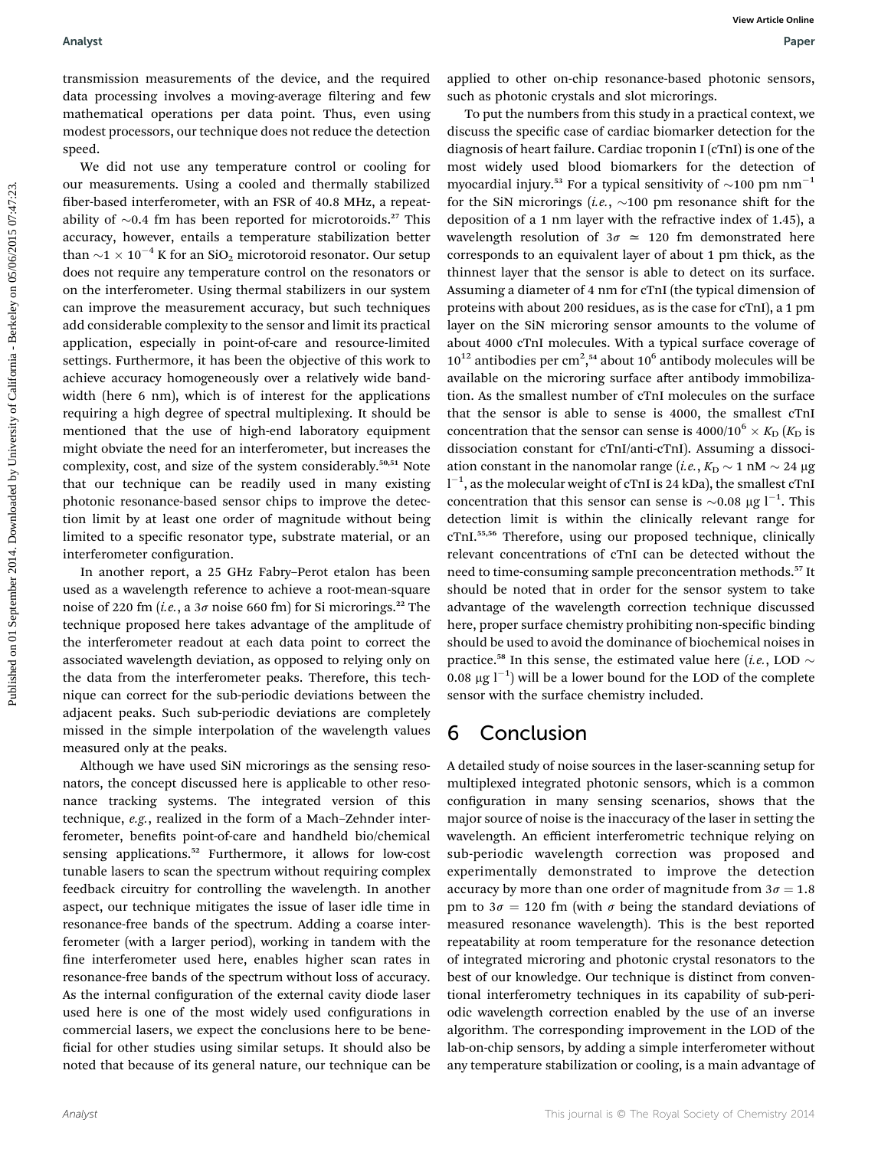transmission measurements of the device, and the required data processing involves a moving-average filtering and few mathematical operations per data point. Thus, even using modest processors, our technique does not reduce the detection speed.

We did not use any temperature control or cooling for our measurements. Using a cooled and thermally stabilized ber-based interferometer, with an FSR of 40.8 MHz, a repeatability of  $\sim$ 0.4 fm has been reported for microtoroids.<sup>27</sup> This accuracy, however, entails a temperature stabilization better than  $\sim$ 1  $\times$  10<sup>-4</sup> K for an SiO<sub>2</sub> microtoroid resonator. Our setup does not require any temperature control on the resonators or on the interferometer. Using thermal stabilizers in our system can improve the measurement accuracy, but such techniques add considerable complexity to the sensor and limit its practical application, especially in point-of-care and resource-limited settings. Furthermore, it has been the objective of this work to achieve accuracy homogeneously over a relatively wide bandwidth (here 6 nm), which is of interest for the applications requiring a high degree of spectral multiplexing. It should be mentioned that the use of high-end laboratory equipment might obviate the need for an interferometer, but increases the complexity, cost, and size of the system considerably.<sup>50,51</sup> Note that our technique can be readily used in many existing photonic resonance-based sensor chips to improve the detection limit by at least one order of magnitude without being limited to a specific resonator type, substrate material, or an interferometer configuration.

In another report, a 25 GHz Fabry–Perot etalon has been used as a wavelength reference to achieve a root-mean-square noise of 220 fm (*i.e.*, a  $3\sigma$  noise 660 fm) for Si microrings.<sup>22</sup> The technique proposed here takes advantage of the amplitude of the interferometer readout at each data point to correct the associated wavelength deviation, as opposed to relying only on the data from the interferometer peaks. Therefore, this technique can correct for the sub-periodic deviations between the adjacent peaks. Such sub-periodic deviations are completely missed in the simple interpolation of the wavelength values measured only at the peaks.

Although we have used SiN microrings as the sensing resonators, the concept discussed here is applicable to other resonance tracking systems. The integrated version of this technique, e.g., realized in the form of a Mach–Zehnder interferometer, benefits point-of-care and handheld bio/chemical sensing applications.<sup>52</sup> Furthermore, it allows for low-cost tunable lasers to scan the spectrum without requiring complex feedback circuitry for controlling the wavelength. In another aspect, our technique mitigates the issue of laser idle time in resonance-free bands of the spectrum. Adding a coarse interferometer (with a larger period), working in tandem with the fine interferometer used here, enables higher scan rates in resonance-free bands of the spectrum without loss of accuracy. As the internal configuration of the external cavity diode laser used here is one of the most widely used configurations in commercial lasers, we expect the conclusions here to be bene ficial for other studies using similar setups. It should also be noted that because of its general nature, our technique can be

applied to other on-chip resonance-based photonic sensors, such as photonic crystals and slot microrings.

To put the numbers from this study in a practical context, we discuss the specific case of cardiac biomarker detection for the diagnosis of heart failure. Cardiac troponin I (cTnI) is one of the most widely used blood biomarkers for the detection of myocardial injury.<sup>53</sup> For a typical sensitivity of  $\sim$ 100 pm nm<sup>-1</sup> for the SiN microrings (*i.e.*,  $\sim$ 100 pm resonance shift for the deposition of a 1 nm layer with the refractive index of 1.45), a wavelength resolution of  $3\sigma \approx 120$  fm demonstrated here corresponds to an equivalent layer of about 1 pm thick, as the thinnest layer that the sensor is able to detect on its surface. Assuming a diameter of 4 nm for cTnI (the typical dimension of proteins with about 200 residues, as is the case for cTnI), a 1 pm layer on the SiN microring sensor amounts to the volume of about 4000 cTnI molecules. With a typical surface coverage of  $10^{12}$  antibodies per cm<sup>2</sup>,<sup>54</sup> about  $10^6$  antibody molecules will be available on the microring surface after antibody immobilization. As the smallest number of cTnI molecules on the surface that the sensor is able to sense is 4000, the smallest cTnI concentration that the sensor can sense is  $4000/10^6 \times K_D$  (K<sub>D</sub> is dissociation constant for cTnI/anti-cTnI). Assuming a dissociation constant in the nanomolar range (*i.e.*,  $K_{\text{D}} \sim 1 \text{ nM} \sim 24 \mu\text{g}$  $1^{-1}$ , as the molecular weight of cTnI is 24 kDa), the smallest cTnI concentration that this sensor can sense is  ${\sim}0.08 \mu g \, 1^{-1}$ . This detection limit is within the clinically relevant range for cTnI.55,56 Therefore, using our proposed technique, clinically relevant concentrations of cTnI can be detected without the need to time-consuming sample preconcentration methods.<sup>57</sup> It should be noted that in order for the sensor system to take advantage of the wavelength correction technique discussed here, proper surface chemistry prohibiting non-specific binding should be used to avoid the dominance of biochemical noises in practice.<sup>58</sup> In this sense, the estimated value here (*i.e.*, LOD  $\sim$  $0.08 \mu g$   $1^{-1}$ ) will be a lower bound for the LOD of the complete sensor with the surface chemistry included. Published consideration on the device, and the required inguished to the thermal constrained by Detail consideration of the consideration of the state of California California - Berkeley on the constrained by University of

### 6 Conclusion

A detailed study of noise sources in the laser-scanning setup for multiplexed integrated photonic sensors, which is a common configuration in many sensing scenarios, shows that the major source of noise is the inaccuracy of the laser in setting the wavelength. An efficient interferometric technique relying on sub-periodic wavelength correction was proposed and experimentally demonstrated to improve the detection accuracy by more than one order of magnitude from  $3\sigma = 1.8$ pm to  $3\sigma = 120$  fm (with  $\sigma$  being the standard deviations of measured resonance wavelength). This is the best reported repeatability at room temperature for the resonance detection of integrated microring and photonic crystal resonators to the best of our knowledge. Our technique is distinct from conventional interferometry techniques in its capability of sub-periodic wavelength correction enabled by the use of an inverse algorithm. The corresponding improvement in the LOD of the lab-on-chip sensors, by adding a simple interferometer without any temperature stabilization or cooling, is a main advantage of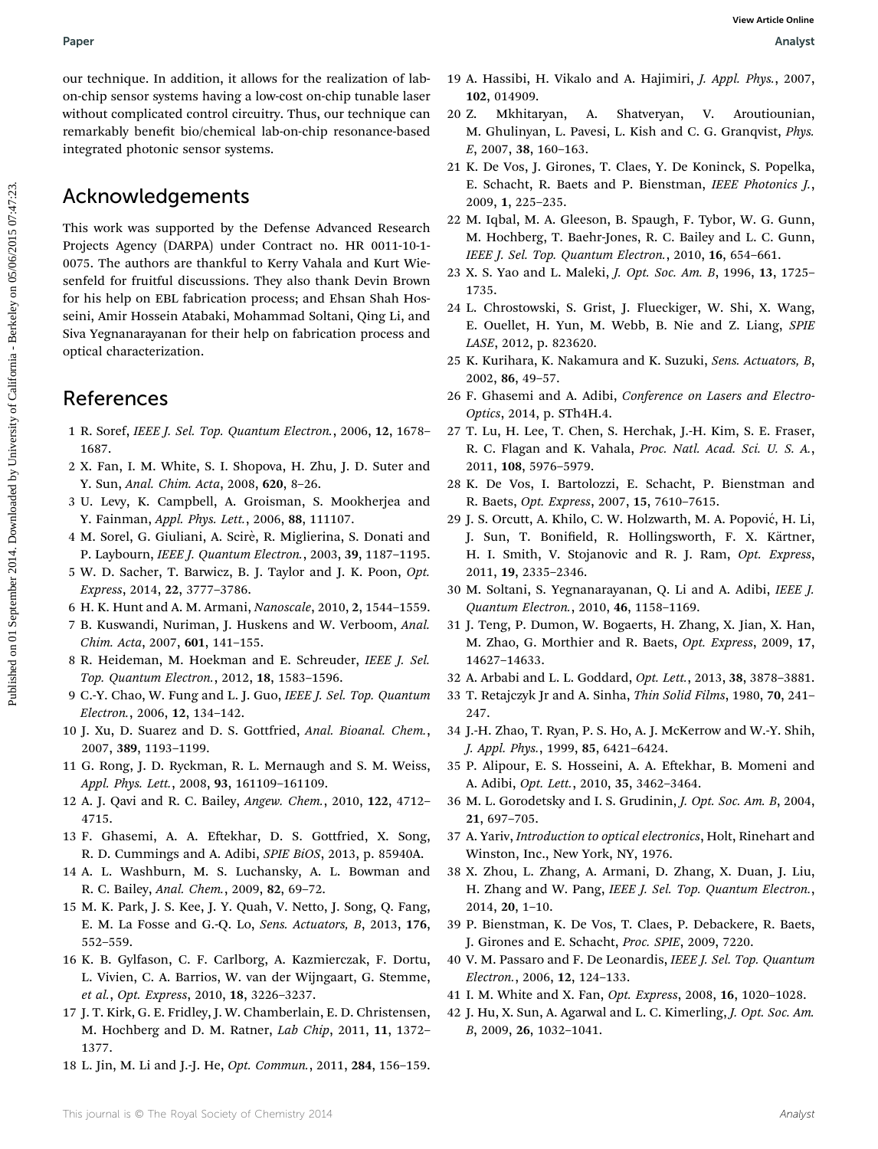# Paper Analyst

our technique. In addition, it allows for the realization of labon-chip sensor systems having a low-cost on-chip tunable laser without complicated control circuitry. Thus, our technique can remarkably benefit bio/chemical lab-on-chip resonance-based integrated photonic sensor systems.

### Acknowledgements

This work was supported by the Defense Advanced Research Projects Agency (DARPA) under Contract no. HR 0011-10-1- 0075. The authors are thankful to Kerry Vahala and Kurt Wiesenfeld for fruitful discussions. They also thank Devin Brown for his help on EBL fabrication process; and Ehsan Shah Hosseini, Amir Hossein Atabaki, Mohammad Soltani, Qing Li, and Siva Yegnanarayanan for their help on fabrication process and optical characterization. Published controlling in different process on 01 September 2014. The september 2014. Neurogen and A. Feliphrid, J. equity of California Controlling China and The September 2014. Neurogen and A. Sharedon, A. Sharedon, A. Sh

### References

- 1 R. Soref, IEEE J. Sel. Top. Quantum Electron., 2006, 12, 1678– 1687.
- 2 X. Fan, I. M. White, S. I. Shopova, H. Zhu, J. D. Suter and Y. Sun, Anal. Chim. Acta, 2008, 620, 8–26.
- 3 U. Levy, K. Campbell, A. Groisman, S. Mookherjea and Y. Fainman, Appl. Phys. Lett., 2006, 88, 111107.
- 4 M. Sorel, G. Giuliani, A. Scirè, R. Miglierina, S. Donati and P. Laybourn, IEEE J. Quantum Electron., 2003, 39, 1187–1195.
- 5 W. D. Sacher, T. Barwicz, B. J. Taylor and J. K. Poon, Opt. Express, 2014, 22, 3777–3786.
- 6 H. K. Hunt and A. M. Armani, Nanoscale, 2010, 2, 1544–1559.
- 7 B. Kuswandi, Nuriman, J. Huskens and W. Verboom, Anal. Chim. Acta, 2007, 601, 141–155.
- 8 R. Heideman, M. Hoekman and E. Schreuder, IEEE J. Sel. Top. Quantum Electron., 2012, 18, 1583–1596.
- 9 C.-Y. Chao, W. Fung and L. J. Guo, IEEE J. Sel. Top. Quantum Electron., 2006, 12, 134–142.
- 10 J. Xu, D. Suarez and D. S. Gottfried, Anal. Bioanal. Chem., 2007, 389, 1193–1199.
- 11 G. Rong, J. D. Ryckman, R. L. Mernaugh and S. M. Weiss, Appl. Phys. Lett., 2008, 93, 161109–161109.
- 12 A. J. Qavi and R. C. Bailey, Angew. Chem., 2010, 122, 4712– 4715.
- 13 F. Ghasemi, A. A. Eftekhar, D. S. Gottfried, X. Song, R. D. Cummings and A. Adibi, SPIE BiOS, 2013, p. 85940A.
- 14 A. L. Washburn, M. S. Luchansky, A. L. Bowman and R. C. Bailey, Anal. Chem., 2009, 82, 69–72.
- 15 M. K. Park, J. S. Kee, J. Y. Quah, V. Netto, J. Song, Q. Fang, E. M. La Fosse and G.-Q. Lo, Sens. Actuators, B, 2013, 176, 552–559.
- 16 K. B. Gylfason, C. F. Carlborg, A. Kazmierczak, F. Dortu, L. Vivien, C. A. Barrios, W. van der Wijngaart, G. Stemme, et al., Opt. Express, 2010, 18, 3226–3237.
- 17 J. T. Kirk, G. E. Fridley, J. W. Chamberlain, E. D. Christensen, M. Hochberg and D. M. Ratner, Lab Chip, 2011, 11, 1372– 1377.
- 18 L. Jin, M. Li and J.-J. He, Opt. Commun., 2011, 284, 156–159.
- 19 A. Hassibi, H. Vikalo and A. Hajimiri, J. Appl. Phys., 2007, 102, 014909.
- 20 Z. Mkhitaryan, A. Shatveryan, V. Aroutiounian, M. Ghulinyan, L. Pavesi, L. Kish and C. G. Granqvist, Phys. E, 2007, 38, 160–163.
- 21 K. De Vos, J. Girones, T. Claes, Y. De Koninck, S. Popelka, E. Schacht, R. Baets and P. Bienstman, IEEE Photonics J., 2009, 1, 225–235.
- 22 M. Iqbal, M. A. Gleeson, B. Spaugh, F. Tybor, W. G. Gunn, M. Hochberg, T. Baehr-Jones, R. C. Bailey and L. C. Gunn, IEEE J. Sel. Top. Quantum Electron., 2010, 16, 654–661.
- 23 X. S. Yao and L. Maleki, J. Opt. Soc. Am. B, 1996, 13, 1725– 1735.
- 24 L. Chrostowski, S. Grist, J. Flueckiger, W. Shi, X. Wang, E. Ouellet, H. Yun, M. Webb, B. Nie and Z. Liang, SPIE LASE, 2012, p. 823620.
- 25 K. Kurihara, K. Nakamura and K. Suzuki, Sens. Actuators, B, 2002, 86, 49–57.
- 26 F. Ghasemi and A. Adibi, Conference on Lasers and Electro-Optics, 2014, p. STh4H.4.
- 27 T. Lu, H. Lee, T. Chen, S. Herchak, J.-H. Kim, S. E. Fraser, R. C. Flagan and K. Vahala, Proc. Natl. Acad. Sci. U. S. A., 2011, 108, 5976–5979.
- 28 K. De Vos, I. Bartolozzi, E. Schacht, P. Bienstman and R. Baets, Opt. Express, 2007, 15, 7610–7615.
- 29 J. S. Orcutt, A. Khilo, C. W. Holzwarth, M. A. Popović, H. Li, J. Sun, T. Bonifield, R. Hollingsworth, F. X. Kärtner, H. I. Smith, V. Stojanovic and R. J. Ram, Opt. Express, 2011, 19, 2335–2346.
- 30 M. Soltani, S. Yegnanarayanan, Q. Li and A. Adibi, IEEE J. Quantum Electron., 2010, 46, 1158–1169.
- 31 J. Teng, P. Dumon, W. Bogaerts, H. Zhang, X. Jian, X. Han, M. Zhao, G. Morthier and R. Baets, Opt. Express, 2009, 17, 14627–14633.
- 32 A. Arbabi and L. L. Goddard, Opt. Lett., 2013, 38, 3878–3881.
- 33 T. Retajczyk Jr and A. Sinha, Thin Solid Films, 1980, 70, 241– 247.
- 34 J.-H. Zhao, T. Ryan, P. S. Ho, A. J. McKerrow and W.-Y. Shih, J. Appl. Phys., 1999, 85, 6421–6424.
- 35 P. Alipour, E. S. Hosseini, A. A. Eftekhar, B. Momeni and A. Adibi, Opt. Lett., 2010, 35, 3462–3464.
- 36 M. L. Gorodetsky and I. S. Grudinin, J. Opt. Soc. Am. B, 2004, 21, 697–705.
- 37 A. Yariv, Introduction to optical electronics, Holt, Rinehart and Winston, Inc., New York, NY, 1976.
- 38 X. Zhou, L. Zhang, A. Armani, D. Zhang, X. Duan, J. Liu, H. Zhang and W. Pang, IEEE J. Sel. Top. Quantum Electron., 2014, 20, 1–10.
- 39 P. Bienstman, K. De Vos, T. Claes, P. Debackere, R. Baets, J. Girones and E. Schacht, Proc. SPIE, 2009, 7220.
- 40 V. M. Passaro and F. De Leonardis, IEEE J. Sel. Top. Quantum Electron., 2006, 12, 124–133.
- 41 I. M. White and X. Fan, Opt. Express, 2008, 16, 1020–1028.
- 42 J. Hu, X. Sun, A. Agarwal and L. C. Kimerling, J. Opt. Soc. Am. B, 2009, 26, 1032–1041.